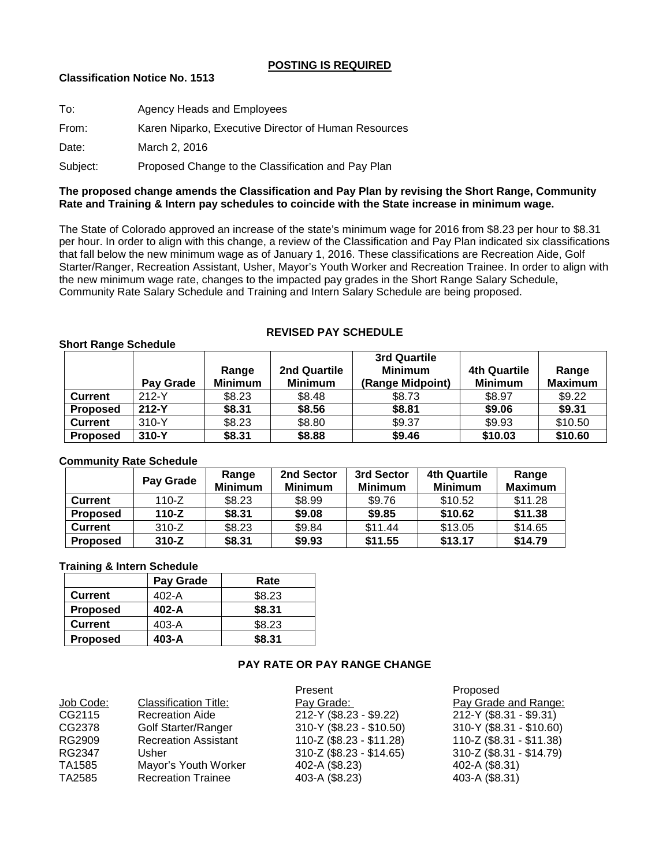## **POSTING IS REQUIRED**

# **Classification Notice No. 1513**

| To:      | Agency Heads and Employees                           |
|----------|------------------------------------------------------|
| From:    | Karen Niparko, Executive Director of Human Resources |
| Date:    | March 2, 2016                                        |
| Subject: | Proposed Change to the Classification and Pay Plan   |

## **The proposed change amends the Classification and Pay Plan by revising the Short Range, Community Rate and Training & Intern pay schedules to coincide with the State increase in minimum wage.**

The State of Colorado approved an increase of the state's minimum wage for 2016 from \$8.23 per hour to \$8.31 per hour. In order to align with this change, a review of the Classification and Pay Plan indicated six classifications that fall below the new minimum wage as of January 1, 2016. These classifications are Recreation Aide, Golf Starter/Ranger, Recreation Assistant, Usher, Mayor's Youth Worker and Recreation Trainee. In order to align with the new minimum wage rate, changes to the impacted pay grades in the Short Range Salary Schedule, Community Rate Salary Schedule and Training and Intern Salary Schedule are being proposed.

### **Short Range Schedule**

|                 | Pay Grade | Range<br><b>Minimum</b> | 2nd Quartile<br><b>Minimum</b> | 3rd Quartile<br><b>Minimum</b><br>(Range Midpoint) | 4th Quartile<br><b>Minimum</b> | Range<br><b>Maximum</b> |
|-----------------|-----------|-------------------------|--------------------------------|----------------------------------------------------|--------------------------------|-------------------------|
| <b>Current</b>  | $212-Y$   | \$8.23                  | \$8.48                         | \$8.73                                             | \$8.97                         | \$9.22                  |
| <b>Proposed</b> | $212-Y$   | \$8.31                  | \$8.56                         | \$8.81                                             | \$9.06                         | \$9.31                  |
| <b>Current</b>  | $310-Y$   | \$8.23                  | \$8.80                         | \$9.37                                             | \$9.93                         | \$10.50                 |
| <b>Proposed</b> | 310-Y     | \$8.31                  | \$8.88                         | \$9.46                                             | \$10.03                        | \$10.60                 |

**REVISED PAY SCHEDULE** 

### **Community Rate Schedule**

|                 | Pay Grade | Range<br><b>Minimum</b> | 2nd Sector<br><b>Minimum</b> | 3rd Sector<br><b>Minimum</b> | 4th Quartile<br><b>Minimum</b> | Range<br><b>Maximum</b> |
|-----------------|-----------|-------------------------|------------------------------|------------------------------|--------------------------------|-------------------------|
| <b>Current</b>  | 110-Z     | \$8.23                  | \$8.99                       | \$9.76                       | \$10.52                        | \$11.28                 |
| <b>Proposed</b> | $110-Z$   | \$8.31                  | \$9.08                       | \$9.85                       | \$10.62                        | \$11.38                 |
| <b>Current</b>  | $310-Z$   | \$8.23                  | \$9.84                       | \$11.44                      | \$13.05                        | \$14.65                 |
| <b>Proposed</b> | $310-Z$   | \$8.31                  | \$9.93                       | \$11.55                      | \$13.17                        | \$14.79                 |

#### **Training & Intern Schedule**

|                 | Pay Grade | Rate   |
|-----------------|-----------|--------|
| <b>Current</b>  | 402-A     | \$8.23 |
| <b>Proposed</b> | $402 - A$ | \$8.31 |
| <b>Current</b>  | 403-A     | \$8.23 |
| <b>Proposed</b> | $403 - A$ | \$8.31 |

## **PAY RATE OR PAY RANGE CHANGE**

|           |                             | Present                    | Proposed                    |
|-----------|-----------------------------|----------------------------|-----------------------------|
| Job Code: | Classification Title:       | Pay Grade:                 | Pay Grade and Range:        |
| CG2115    | <b>Recreation Aide</b>      | 212-Y (\$8.23 - \$9.22)    | 212-Y (\$8.31 - \$9.31)     |
| CG2378    | <b>Golf Starter/Ranger</b>  | 310-Y (\$8.23 - \$10.50)   | $310-Y ($ \$8.31 - \$10.60) |
| RG2909    | <b>Recreation Assistant</b> | 110-Z (\$8.23 - \$11.28)   | 110-Z (\$8.31 - \$11.38)    |
| RG2347    | Usher                       | $310-Z$ (\$8.23 - \$14.65) | $310-Z ( $8.31 - $14.79)$   |
| TA1585    | Mayor's Youth Worker        | 402-A (\$8.23)             | 402-A (\$8.31)              |
| TA2585    | <b>Recreation Trainee</b>   | 403-A (\$8.23)             | 403-A (\$8.31)              |